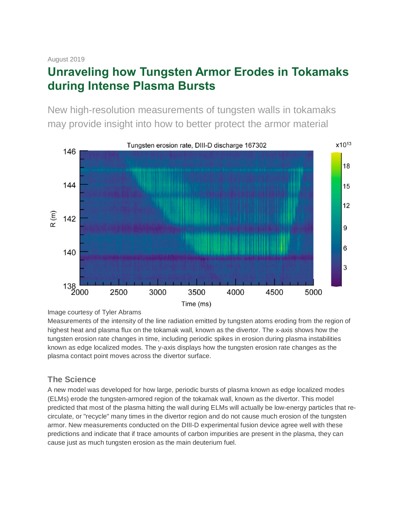# **Unraveling how Tungsten Armor Erodes in Tokamaks during Intense Plasma Bursts**

New high-resolution measurements of tungsten walls in tokamaks may provide insight into how to better protect the armor material



Image courtesy of Tyler Abrams

Measurements of the intensity of the line radiation emitted by tungsten atoms eroding from the region of highest heat and plasma flux on the tokamak wall, known as the divertor. The x-axis shows how the tungsten erosion rate changes in time, including periodic spikes in erosion during plasma instabilities known as edge localized modes. The y-axis displays how the tungsten erosion rate changes as the plasma contact point moves across the divertor surface.

# **The Science**

A new model was developed for how large, periodic bursts of plasma known as edge localized modes (ELMs) erode the tungsten-armored region of the tokamak wall, known as the divertor. This model predicted that most of the plasma hitting the wall during ELMs will actually be low-energy particles that recirculate, or "recycle" many times in the divertor region and do not cause much erosion of the tungsten armor. New measurements conducted on the DIII-D experimental fusion device agree well with these predictions and indicate that if trace amounts of carbon impurities are present in the plasma, they can cause just as much tungsten erosion as the main deuterium fuel.